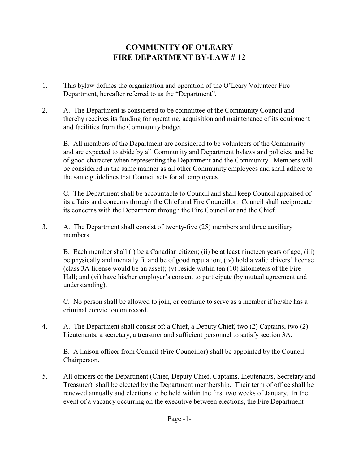# **COMMUNITY OF O'LEARY FIRE DEPARTMENT BY-LAW # 12**

- 1. This bylaw defines the organization and operation of the O'Leary Volunteer Fire Department, hereafter referred to as the "Department".
- 2. A. The Department is considered to be committee of the Community Council and thereby receives its funding for operating, acquisition and maintenance of its equipment and facilities from the Community budget.

B. All members of the Department are considered to be volunteers of the Community and are expected to abide by all Community and Department bylaws and policies, and be of good character when representing the Department and the Community. Members will be considered in the same manner as all other Community employees and shall adhere to the same guidelines that Council sets for all employees.

C. The Department shall be accountable to Council and shall keep Council appraised of its affairs and concerns through the Chief and Fire Councillor. Council shall reciprocate its concerns with the Department through the Fire Councillor and the Chief.

3. A. The Department shall consist of twenty-five (25) members and three auxiliary members.

B. Each member shall (i) be a Canadian citizen; (ii) be at least nineteen years of age, (iii) be physically and mentally fit and be of good reputation; (iv) hold a valid drivers' license (class 3A license would be an asset); (v) reside within ten (10) kilometers of the Fire Hall; and (vi) have his/her employer's consent to participate (by mutual agreement and understanding).

C. No person shall be allowed to join, or continue to serve as a member if he/she has a criminal conviction on record.

4. A. The Department shall consist of: a Chief, a Deputy Chief, two (2) Captains, two (2) Lieutenants, a secretary, a treasurer and sufficient personnel to satisfy section 3A.

B. A liaison officer from Council (Fire Councillor) shall be appointed by the Council Chairperson.

5. All officers of the Department (Chief, Deputy Chief, Captains, Lieutenants, Secretary and Treasurer) shall be elected by the Department membership. Their term of office shall be renewed annually and elections to be held within the first two weeks of January. In the event of a vacancy occurring on the executive between elections, the Fire Department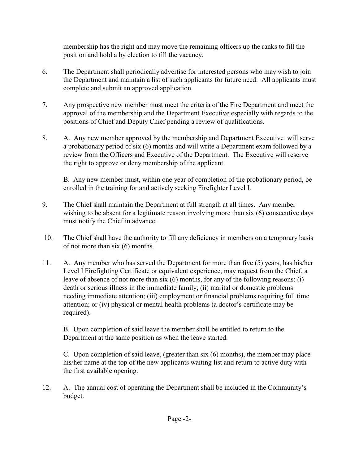membership has the right and may move the remaining officers up the ranks to fill the position and hold a by election to fill the vacancy.

- 6. The Department shall periodically advertise for interested persons who may wish to join the Department and maintain a list of such applicants for future need. All applicants must complete and submit an approved application.
- 7. Any prospective new member must meet the criteria of the Fire Department and meet the approval of the membership and the Department Executive especially with regards to the positions of Chief and Deputy Chief pending a review of qualifications.
- 8. A. Any new member approved by the membership and Department Executive will serve a probationary period of six (6) months and will write a Department exam followed by a review from the Officers and Executive of the Department. The Executive will reserve the right to approve or deny membership of the applicant.

B. Any new member must, within one year of completion of the probationary period, be enrolled in the training for and actively seeking Firefighter Level I.

- 9. The Chief shall maintain the Department at full strength at all times. Any member wishing to be absent for a legitimate reason involving more than six (6) consecutive days must notify the Chief in advance.
- 10. The Chief shall have the authority to fill any deficiency in members on a temporary basis of not more than six (6) months.
- 11. A. Any member who has served the Department for more than five (5) years, has his/her Level I Firefighting Certificate or equivalent experience, may request from the Chief, a leave of absence of not more than six (6) months, for any of the following reasons: (i) death or serious illness in the immediate family; (ii) marital or domestic problems needing immediate attention; (iii) employment or financial problems requiring full time attention; or (iv) physical or mental health problems (a doctor's certificate may be required).

B. Upon completion of said leave the member shall be entitled to return to the Department at the same position as when the leave started.

C. Upon completion of said leave, (greater than six (6) months), the member may place his/her name at the top of the new applicants waiting list and return to active duty with the first available opening.

12. A. The annual cost of operating the Department shall be included in the Community's budget.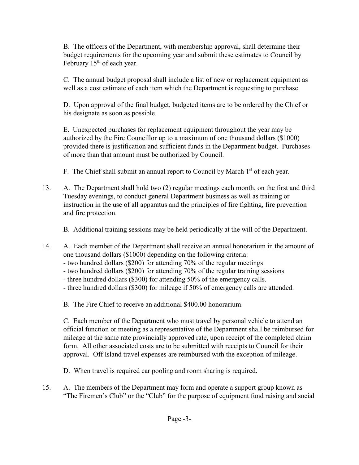B. The officers of the Department, with membership approval, shall determine their budget requirements for the upcoming year and submit these estimates to Council by February 15<sup>th</sup> of each year.

C. The annual budget proposal shall include a list of new or replacement equipment as well as a cost estimate of each item which the Department is requesting to purchase.

D. Upon approval of the final budget, budgeted items are to be ordered by the Chief or his designate as soon as possible.

E. Unexpected purchases for replacement equipment throughout the year may be authorized by the Fire Councillor up to a maximum of one thousand dollars (\$1000) provided there is justification and sufficient funds in the Department budget. Purchases of more than that amount must be authorized by Council.

F. The Chief shall submit an annual report to Council by March  $1<sup>st</sup>$  of each year.

13. A. The Department shall hold two (2) regular meetings each month, on the first and third Tuesday evenings, to conduct general Department business as well as training or instruction in the use of all apparatus and the principles of fire fighting, fire prevention and fire protection.

B. Additional training sessions may be held periodically at the will of the Department.

- 14. A. Each member of the Department shall receive an annual honorarium in the amount of one thousand dollars (\$1000) depending on the following criteria:
	- two hundred dollars (\$200) for attending 70% of the regular meetings
	- two hundred dollars (\$200) for attending 70% of the regular training sessions
	- three hundred dollars (\$300) for attending 50% of the emergency calls.
	- three hundred dollars (\$300) for mileage if 50% of emergency calls are attended.

B. The Fire Chief to receive an additional \$400.00 honorarium.

C. Each member of the Department who must travel by personal vehicle to attend an official function or meeting as a representative of the Department shall be reimbursed for mileage at the same rate provincially approved rate, upon receipt of the completed claim form. All other associated costs are to be submitted with receipts to Council for their approval. Off Island travel expenses are reimbursed with the exception of mileage.

D. When travel is required car pooling and room sharing is required.

15. A. The members of the Department may form and operate a support group known as "The Firemen's Club" or the "Club" for the purpose of equipment fund raising and social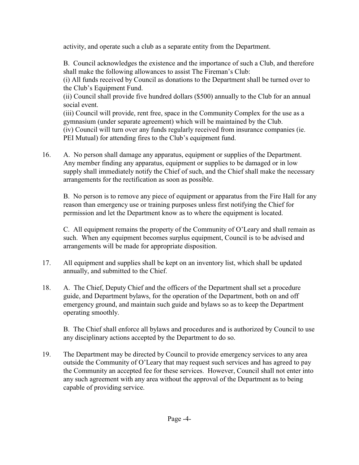activity, and operate such a club as a separate entity from the Department.

B. Council acknowledges the existence and the importance of such a Club, and therefore shall make the following allowances to assist The Fireman's Club:

(i) All funds received by Council as donations to the Department shall be turned over to the Club's Equipment Fund.

(ii) Council shall provide five hundred dollars (\$500) annually to the Club for an annual social event.

(iii) Council will provide, rent free, space in the Community Complex for the use as a gymnasium (under separate agreement) which will be maintained by the Club. (iv) Council will turn over any funds regularly received from insurance companies (ie.

PEI Mutual) for attending fires to the Club's equipment fund.

16. A. No person shall damage any apparatus, equipment or supplies of the Department. Any member finding any apparatus, equipment or supplies to be damaged or in low supply shall immediately notify the Chief of such, and the Chief shall make the necessary arrangements for the rectification as soon as possible.

B. No person is to remove any piece of equipment or apparatus from the Fire Hall for any reason than emergency use or training purposes unless first notifying the Chief for permission and let the Department know as to where the equipment is located.

C. All equipment remains the property of the Community of O'Leary and shall remain as such. When any equipment becomes surplus equipment, Council is to be advised and arrangements will be made for appropriate disposition.

- 17. All equipment and supplies shall be kept on an inventory list, which shall be updated annually, and submitted to the Chief.
- 18. A. The Chief, Deputy Chief and the officers of the Department shall set a procedure guide, and Department bylaws, for the operation of the Department, both on and off emergency ground, and maintain such guide and bylaws so as to keep the Department operating smoothly.

B. The Chief shall enforce all bylaws and procedures and is authorized by Council to use any disciplinary actions accepted by the Department to do so.

19. The Department may be directed by Council to provide emergency services to any area outside the Community of O'Leary that may request such services and has agreed to pay the Community an accepted fee for these services. However, Council shall not enter into any such agreement with any area without the approval of the Department as to being capable of providing service.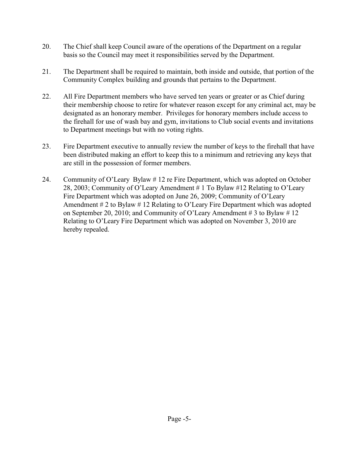- 20. The Chief shall keep Council aware of the operations of the Department on a regular basis so the Council may meet it responsibilities served by the Department.
- 21. The Department shall be required to maintain, both inside and outside, that portion of the Community Complex building and grounds that pertains to the Department.
- 22. All Fire Department members who have served ten years or greater or as Chief during their membership choose to retire for whatever reason except for any criminal act, may be designated as an honorary member. Privileges for honorary members include access to the firehall for use of wash bay and gym, invitations to Club social events and invitations to Department meetings but with no voting rights.
- 23. Fire Department executive to annually review the number of keys to the firehall that have been distributed making an effort to keep this to a minimum and retrieving any keys that are still in the possession of former members.
- 24. Community of O'Leary Bylaw # 12 re Fire Department, which was adopted on October 28, 2003; Community of O'Leary Amendment # 1 To Bylaw #12 Relating to O'Leary Fire Department which was adopted on June 26, 2009; Community of O'Leary Amendment  $# 2$  to Bylaw  $# 12$  Relating to O'Leary Fire Department which was adopted on September 20, 2010; and Community of O'Leary Amendment # 3 to Bylaw # 12 Relating to O'Leary Fire Department which was adopted on November 3, 2010 are hereby repealed.